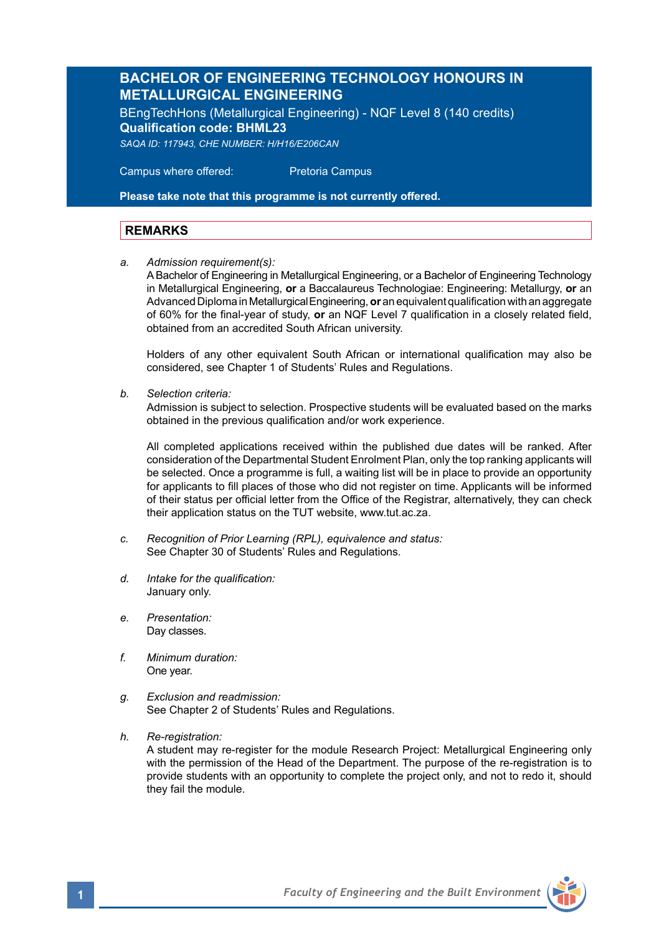## **BACHELOR OF ENGINEERING TECHNOLOGY HONOURS IN METALLURGICAL ENGINEERING**

BEngTechHons (Metallurgical Engineering) - NQF Level 8 (140 credits) **Qualification code: BHML23** *SAQA ID: 117943, CHE NUMBER: H/H16/E206CAN*

 Campus where offered: Pretoria Campus

**Please take note that this programme is not currently offered.** 

### **REMARKS**

*a. Admission requirement(s):*

A Bachelor of Engineering in Metallurgical Engineering, or a Bachelor of Engineering Technology in Metallurgical Engineering, **or** a Baccalaureus Technologiae: Engineering: Metallurgy, **or** an Advanced Diploma in Metallurgical Engineering, **or** an equivalent qualification with an aggregate of 60% for the final-year of study, **or** an NQF Level 7 qualification in a closely related field, obtained from an accredited South African university.

Holders of any other equivalent South African or international qualification may also be considered, see Chapter 1 of Students' Rules and Regulations.

*b. Selection criteria:*

Admission is subject to selection. Prospective students will be evaluated based on the marks obtained in the previous qualification and/or work experience.

All completed applications received within the published due dates will be ranked. After consideration of the Departmental Student Enrolment Plan, only the top ranking applicants will be selected. Once a programme is full, a waiting list will be in place to provide an opportunity for applicants to fill places of those who did not register on time. Applicants will be informed of their status per official letter from the Office of the Registrar, alternatively, they can check their application status on the TUT website, www.tut.ac.za.

- *c. Recognition of Prior Learning (RPL), equivalence and status:* See Chapter 30 of Students' Rules and Regulations.
- *d. Intake for the qualification:* January only.
- *e. Presentation:*  Dav classes.
- *f. Minimum duration:* One year.
- *g. Exclusion and readmission:* See Chapter 2 of Students' Rules and Regulations.
- *h. Re-registration:*

A student may re-register for the module Research Project: Metallurgical Engineering only with the permission of the Head of the Department. The purpose of the re-registration is to provide students with an opportunity to complete the project only, and not to redo it, should they fail the module.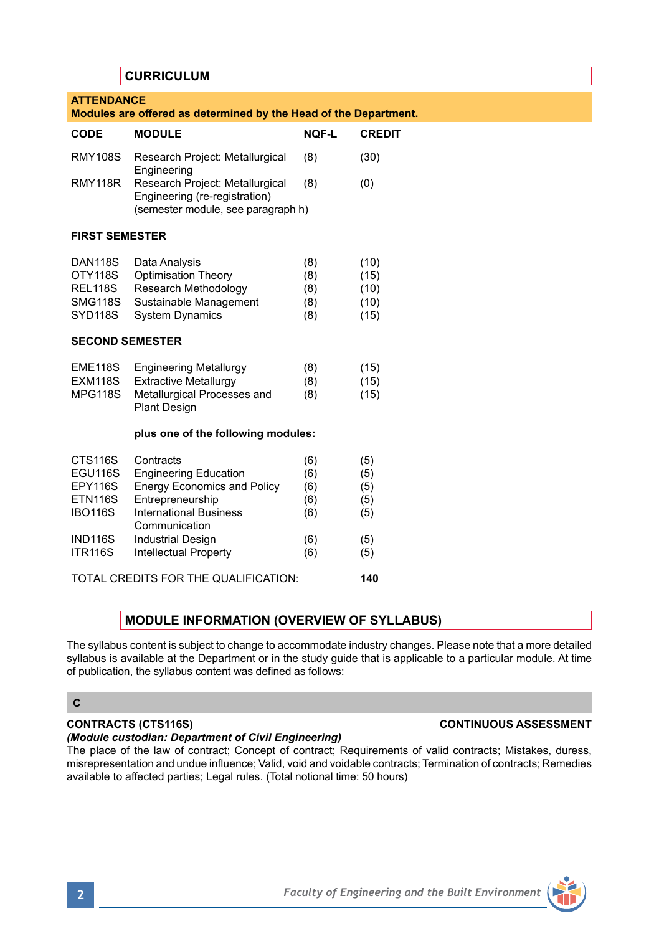# **CURRICULUM ATTENDANCE Modules are offered as determined by the Head of the Department. CODE MODULE NQF-L CREDIT** RMY108S Research Project: Metallurgical (8) (30) Engineering RMY118R Research Project: Metallurgical (8) (0) Engineering (re-registration) (semester module, see paragraph h) **FIRST SEMESTER** DAN118S Data Analysis (8) (10) OTY118S Optimisation Theory (8) (15) REL118S Research Methodology (8) (10)<br>SMG118S Sustainable Management (8) (10) SMG118S Sustainable Management (8) SYD118S System Dynamics (8) (15) **SECOND SEMESTER** EME118S Engineering Metallurgy (8) (15)<br>EXM118S Extractive Metallurgy (8) (15) Extractive Metallurgy (8) (15)<br>Metallurgical Processes and (8) (15) MPG118S Metallurgical Processes and Plant Design **plus one of the following modules:** CTS116S Contracts (6) (5)<br>EGU116S Engineering Education (6) (5) EGU116S Engineering Education<br>
FPY116S Energy Economics and Energy Economics and Policy (6) (5) ETN116S Entrepreneurship (6) (5)<br>IBO116S International Business (6) (5) International Business (6) (5) **Communication** IND116S Industrial Design (6) (5)<br>ITR116S Intellectual Property (6) (5) Intellectual Property (6) TOTAL CREDITS FOR THE QUALIFICATION: **140**

# **MODULE INFORMATION (OVERVIEW OF SYLLABUS)**

The syllabus content is subject to change to accommodate industry changes. Please note that a more detailed syllabus is available at the Department or in the study quide that is applicable to a particular module. At time of publication, the syllabus content was defined as follows:

## **C**

# **CONTRACTS (CTS116S) CONTINUOUS ASSESSMENT**

## *(Module custodian: Department of Civil Engineering)*

The place of the law of contract; Concept of contract; Requirements of valid contracts; Mistakes, duress, misrepresentation and undue influence; Valid, void and voidable contracts; Termination of contracts; Remedies available to affected parties; Legal rules. (Total notional time: 50 hours)

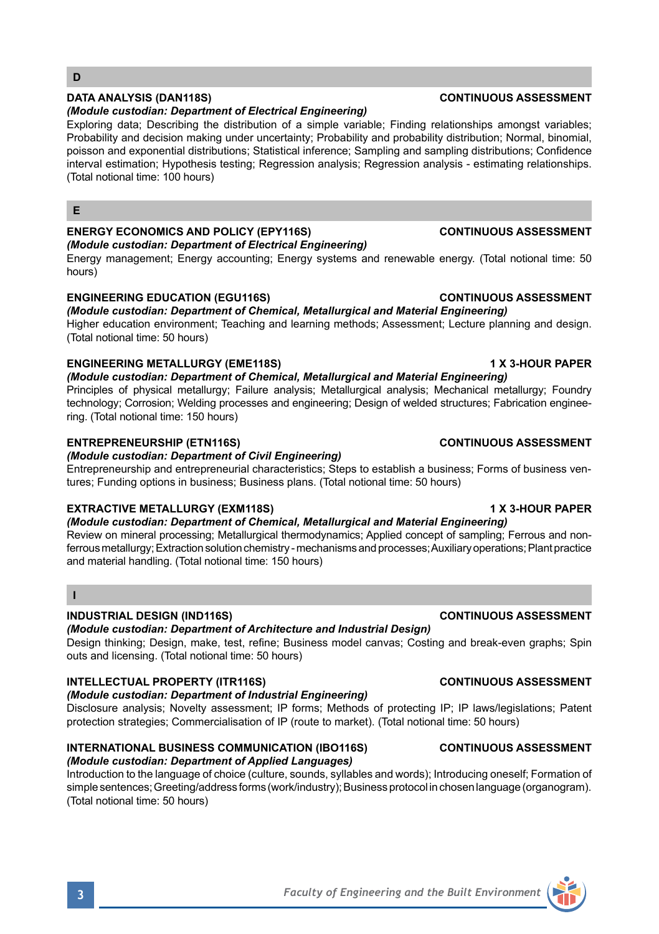## *(Module custodian: Department of Electrical Engineering)*

Exploring data; Describing the distribution of a simple variable; Finding relationships amongst variables; Probability and decision making under uncertainty: Probability and probability distribution: Normal, binomial, poisson and exponential distributions; Statistical inference; Sampling and sampling distributions; Confidence interval estimation; Hypothesis testing; Regression analysis; Regression analysis - estimating relationships. (Total notional time: 100 hours)

#### **E**

# **ENERGY ECONOMICS AND POLICY (EPY116S) CONTINUOUS ASSESSMENT**

*(Module custodian: Department of Electrical Engineering)* Energy management; Energy accounting; Energy systems and renewable energy. (Total notional time: 50 hours)

# **ENGINEERING EDUCATION (EGU116S) CONTINUOUS ASSESSMENT**

# *(Module custodian: Department of Chemical, Metallurgical and Material Engineering)*

Higher education environment; Teaching and learning methods; Assessment; Lecture planning and design. (Total notional time: 50 hours)

# **ENGINEERING METALLURGY (EME118S) 1 X 3-HOUR PAPER**

*(Module custodian: Department of Chemical, Metallurgical and Material Engineering)* Principles of physical metallurgy; Failure analysis; Metallurgical analysis; Mechanical metallurgy; Foundry

technology; Corrosion; Welding processes and engineering; Design of welded structures; Fabrication engineering. (Total notional time: 150 hours)

# **ENTREPRENEURSHIP (ETN116S) CONTINUOUS ASSESSMENT**

## *(Module custodian: Department of Civil Engineering)*

Entrepreneurship and entrepreneurial characteristics; Steps to establish a business; Forms of business ventures; Funding options in business; Business plans. (Total notional time: 50 hours)

# **EXTRACTIVE METALLURGY (EXM118S) 1 X 3-HOUR PAPER**

*(Module custodian: Department of Chemical, Metallurgical and Material Engineering)*

Review on mineral processing; Metallurgical thermodynamics; Applied concept of sampling; Ferrous and nonferrous metallurgy; Extraction solution chemistry - mechanisms and processes; Auxiliary operations; Plant practice and material handling. (Total notional time: 150 hours)

### **I**

# **INDUSTRIAL DESIGN (IND116S) CONTINUOUS ASSESSMENT**

## *(Module custodian: Department of Architecture and Industrial Design)*

Design thinking; Design, make, test, refine; Business model canvas; Costing and break-even graphs; Spin outs and licensing. (Total notional time: 50 hours)

# **INTELLECTUAL PROPERTY (ITR116S) CONTINUOUS ASSESSMENT**

# *(Module custodian: Department of Industrial Engineering)*

Disclosure analysis; Novelty assessment; IP forms; Methods of protecting IP; IP laws/legislations; Patent protection strategies; Commercialisation of IP (route to market). (Total notional time: 50 hours)

#### **INTERNATIONAL BUSINESS COMMUNICATION (IBO116S) CONTINUOUS ASSESSMENT**  *(Module custodian: Department of Applied Languages)*

Introduction to the language of choice (culture, sounds, syllables and words); Introducing oneself; Formation of simple sentences; Greeting/address forms (work/industry); Business protocol in chosen language (organogram). (Total notional time: 50 hours)

# **DATA ANALYSIS (DAN118S) CONTINUOUS ASSESSMENT**